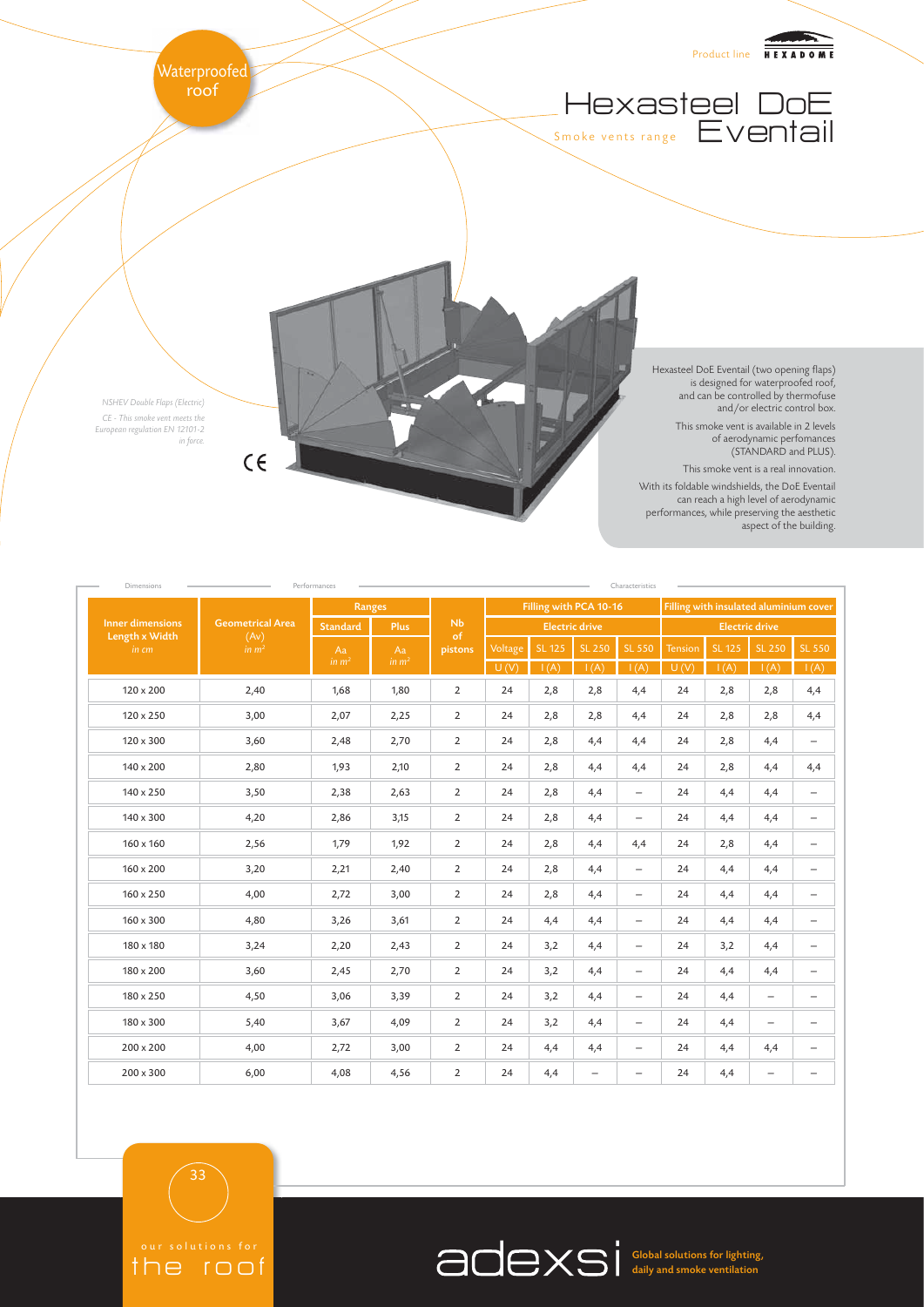

| Dimensions<br>Performances<br>Characteristics |                                                      |                 |               |                     |                        |               |                          |                          |                                        |               |                          |                          |
|-----------------------------------------------|------------------------------------------------------|-----------------|---------------|---------------------|------------------------|---------------|--------------------------|--------------------------|----------------------------------------|---------------|--------------------------|--------------------------|
| Inner dimensions<br>Length x Width<br>in cm   | <b>Geometrical Area</b><br>(Av)<br>in m <sup>2</sup> | Ranges          |               |                     | Filling with PCA 10-16 |               |                          |                          | Filling with insulated aluminium cover |               |                          |                          |
|                                               |                                                      | <b>Standard</b> | <b>Plus</b>   | Nb<br>of<br>pistons | <b>Electric drive</b>  |               |                          |                          | <b>Electric drive</b>                  |               |                          |                          |
|                                               |                                                      | Aa<br>in $m2$   | Aa<br>in $m2$ |                     | Voltage                | <b>SL 125</b> | <b>SL 250</b>            | <b>SL 550</b>            | Tension                                | <b>SL 125</b> | <b>SL 250</b>            | SL 550                   |
|                                               |                                                      |                 |               |                     | U(V)                   | I(A)          | I(A)                     | I(A)                     | U(V)                                   | I(A)          | I(A)                     | I(A)                     |
| $120 \times 200$                              | 2,40                                                 | 1,68            | 1,80          | $\overline{2}$      | 24                     | 2,8           | 2,8                      | 4,4                      | 24                                     | 2,8           | 2,8                      | 4,4                      |
| 120 x 250                                     | 3,00                                                 | 2,07            | 2,25          | $\overline{2}$      | 24                     | 2,8           | 2,8                      | 4,4                      | 24                                     | 2,8           | 2,8                      | 4,4                      |
| $120 \times 300$                              | 3,60                                                 | 2,48            | 2,70          | $\overline{2}$      | 24                     | 2,8           | 4,4                      | 4,4                      | 24                                     | 2,8           | 4,4                      | $\overline{\phantom{m}}$ |
| 140 x 200                                     | 2,80                                                 | 1,93            | 2,10          | $\overline{2}$      | 24                     | 2,8           | 4,4                      | 4,4                      | 24                                     | 2,8           | 4,4                      | 4,4                      |
| 140 x 250                                     | 3,50                                                 | 2,38            | 2,63          | $\overline{2}$      | 24                     | 2,8           | 4,4                      | $\overline{\phantom{0}}$ | 24                                     | 4,4           | 4,4                      | $\overline{\phantom{m}}$ |
| 140 x 300                                     | 4,20                                                 | 2,86            | 3,15          | $\overline{2}$      | 24                     | 2,8           | 4,4                      | $\overline{\phantom{0}}$ | 24                                     | 4,4           | 4,4                      | $\overline{\phantom{m}}$ |
| $160 \times 160$                              | 2,56                                                 | 1,79            | 1,92          | $\overline{2}$      | 24                     | 2,8           | 4,4                      | 4,4                      | 24                                     | 2,8           | 4,4                      | $\overline{\phantom{m}}$ |
| 160 x 200                                     | 3,20                                                 | 2,21            | 2,40          | $\overline{2}$      | 24                     | 2,8           | 4,4                      | $-$                      | 24                                     | 4,4           | 4,4                      | $\overline{\phantom{m}}$ |
| $160 \times 250$                              | 4,00                                                 | 2,72            | 3,00          | $\overline{2}$      | 24                     | 2,8           | 4,4                      | $\overline{\phantom{0}}$ | 24                                     | 4,4           | 4,4                      | $\overline{\phantom{m}}$ |
| 160 x 300                                     | 4,80                                                 | 3,26            | 3,61          | $\overline{2}$      | 24                     | 4,4           | 4,4                      | $\overline{\phantom{0}}$ | 24                                     | 4,4           | 4,4                      | $\overline{\phantom{m}}$ |
| 180 x 180                                     | 3,24                                                 | 2,20            | 2,43          | $\overline{2}$      | 24                     | 3,2           | 4,4                      | $\overline{\phantom{0}}$ | 24                                     | 3,2           | 4,4                      | $\overline{\phantom{m}}$ |
| 180 x 200                                     | 3,60                                                 | 2,45            | 2,70          | $\overline{2}$      | 24                     | 3,2           | 4,4                      | $\overline{\phantom{0}}$ | 24                                     | 4,4           | 4,4                      | $\overline{\phantom{m}}$ |
| 180 x 250                                     | 4,50                                                 | 3,06            | 3,39          | $\overline{2}$      | 24                     | 3,2           | 4,4                      | $-$                      | 24                                     | 4,4           | $\overline{\phantom{0}}$ | $\overline{\phantom{0}}$ |
| 180 x 300                                     | 5,40                                                 | 3,67            | 4,09          | $\overline{2}$      | 24                     | 3,2           | 4,4                      |                          | 24                                     | 4,4           | $\overline{\phantom{0}}$ | $\overline{\phantom{m}}$ |
| 200 x 200                                     | 4,00                                                 | 2,72            | 3,00          | $\overline{2}$      | 24                     | 4,4           | 4,4                      | $\overline{\phantom{0}}$ | 24                                     | 4,4           | 4,4                      | $\overline{\phantom{m}}$ |
| $200 \times 300$                              | 6,00                                                 | 4,08            | 4,56          | $\overline{2}$      | 24                     | 4,4           | $\overline{\phantom{0}}$ | $\overline{\phantom{0}}$ | 24                                     | 4,4           | $\qquad \qquad -$        | $\overline{\phantom{m}}$ |

33

the roof

Global solutions for lighting, daily and smoke ventilation